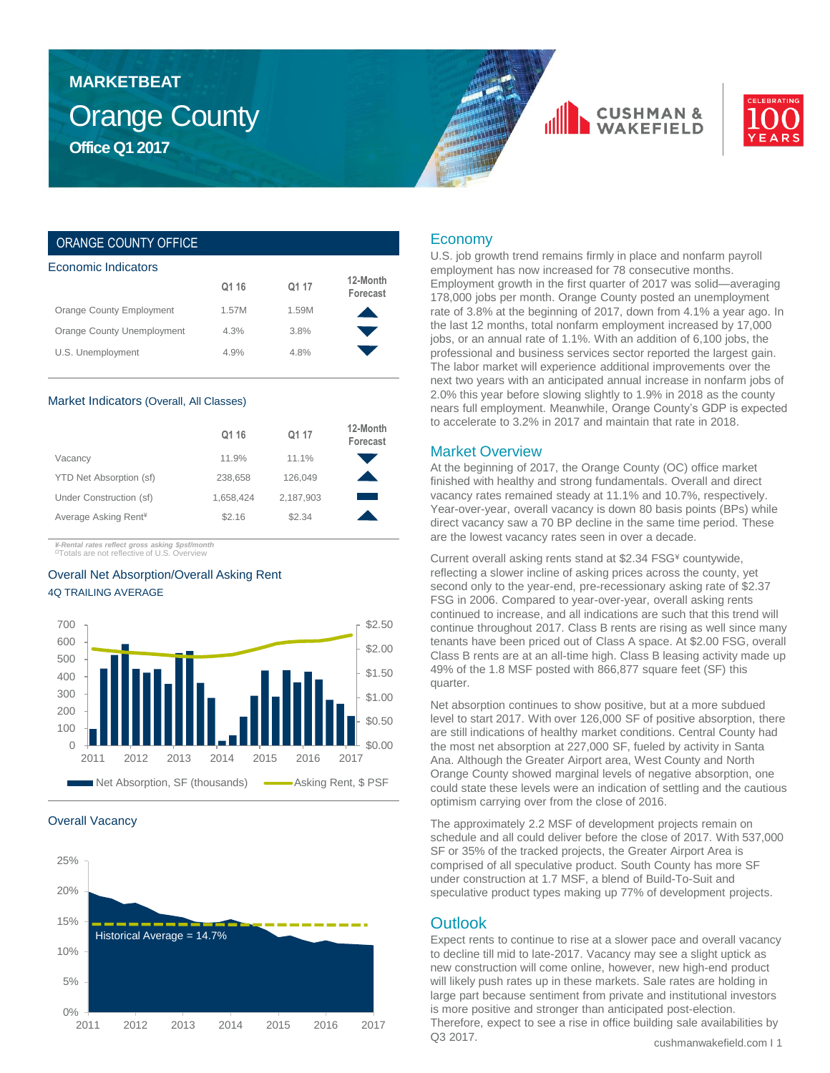# Orange County **Office Q1 2017 MARKETBEAT**





### ORANGE COUNTY OFFICE

| Economic Indicators |       |                      |  |  |  |  |  |
|---------------------|-------|----------------------|--|--|--|--|--|
| Q1 16               | Q1 17 | 12-Month<br>Forecast |  |  |  |  |  |
| 1.57M               | 1.59M |                      |  |  |  |  |  |
| 4.3%                | 3.8%  |                      |  |  |  |  |  |
| 4.9%                | 4.8%  |                      |  |  |  |  |  |
|                     |       |                      |  |  |  |  |  |

#### Market Indicators (Overall, All Classes)

|                                  | Q1 16     | Q1 17     | 12-Month<br>Forecast |
|----------------------------------|-----------|-----------|----------------------|
| Vacancy                          | 11.9%     | 11.1%     |                      |
| YTD Net Absorption (sf)          | 238,658   | 126.049   |                      |
| Under Construction (sf)          | 1,658,424 | 2,187,903 |                      |
| Average Asking Rent <sup>¥</sup> | \$2.16    | \$2.34    |                      |

*¥-Rental rates reflect gross asking \$psf/month* <sup>Ω</sup>Totals are not reflective of U.S. Overview

### Overall Net Absorption/Overall Asking Rent 4Q TRAILING AVERAGE



#### Overall Vacancy



### Economy

U.S. job growth trend remains firmly in place and nonfarm payroll employment has now increased for 78 consecutive months. Employment growth in the first quarter of 2017 was solid—averaging 178,000 jobs per month. Orange County posted an unemployment rate of 3.8% at the beginning of 2017, down from 4.1% a year ago. In the last 12 months, total nonfarm employment increased by 17,000 jobs, or an annual rate of 1.1%. With an addition of 6,100 jobs, the professional and business services sector reported the largest gain. The labor market will experience additional improvements over the next two years with an anticipated annual increase in nonfarm jobs of 2.0% this year before slowing slightly to 1.9% in 2018 as the county nears full employment. Meanwhile, Orange County's GDP is expected to accelerate to 3.2% in 2017 and maintain that rate in 2018.

### Market Overview

At the beginning of 2017, the Orange County (OC) office market finished with healthy and strong fundamentals. Overall and direct vacancy rates remained steady at 11.1% and 10.7%, respectively. Year-over-year, overall vacancy is down 80 basis points (BPs) while direct vacancy saw a 70 BP decline in the same time period. These are the lowest vacancy rates seen in over a decade.

Current overall asking rents stand at \$2.34 FSG¥ countywide, reflecting a slower incline of asking prices across the county, yet second only to the year-end, pre-recessionary asking rate of \$2.37 FSG in 2006. Compared to year-over-year, overall asking rents continued to increase, and all indications are such that this trend will continue throughout 2017. Class B rents are rising as well since many tenants have been priced out of Class A space. At \$2.00 FSG, overall Class B rents are at an all-time high. Class B leasing activity made up 49% of the 1.8 MSF posted with 866,877 square feet (SF) this quarter.

Net absorption continues to show positive, but at a more subdued level to start 2017. With over 126,000 SF of positive absorption, there are still indications of healthy market conditions. Central County had the most net absorption at 227,000 SF, fueled by activity in Santa Ana. Although the Greater Airport area, West County and North Orange County showed marginal levels of negative absorption, one could state these levels were an indication of settling and the cautious optimism carrying over from the close of 2016.

The approximately 2.2 MSF of development projects remain on schedule and all could deliver before the close of 2017. With 537,000 SF or 35% of the tracked projects, the Greater Airport Area is comprised of all speculative product. South County has more SF under construction at 1.7 MSF, a blend of Build-To-Suit and speculative product types making up 77% of development projects.

### **Outlook**

cushmanwakefield.com I 1 Expect rents to continue to rise at a slower pace and overall vacancy to decline till mid to late-2017. Vacancy may see a slight uptick as new construction will come online, however, new high-end product will likely push rates up in these markets. Sale rates are holding in large part because sentiment from private and institutional investors is more positive and stronger than anticipated post-election. Therefore, expect to see a rise in office building sale availabilities by Q3 2017.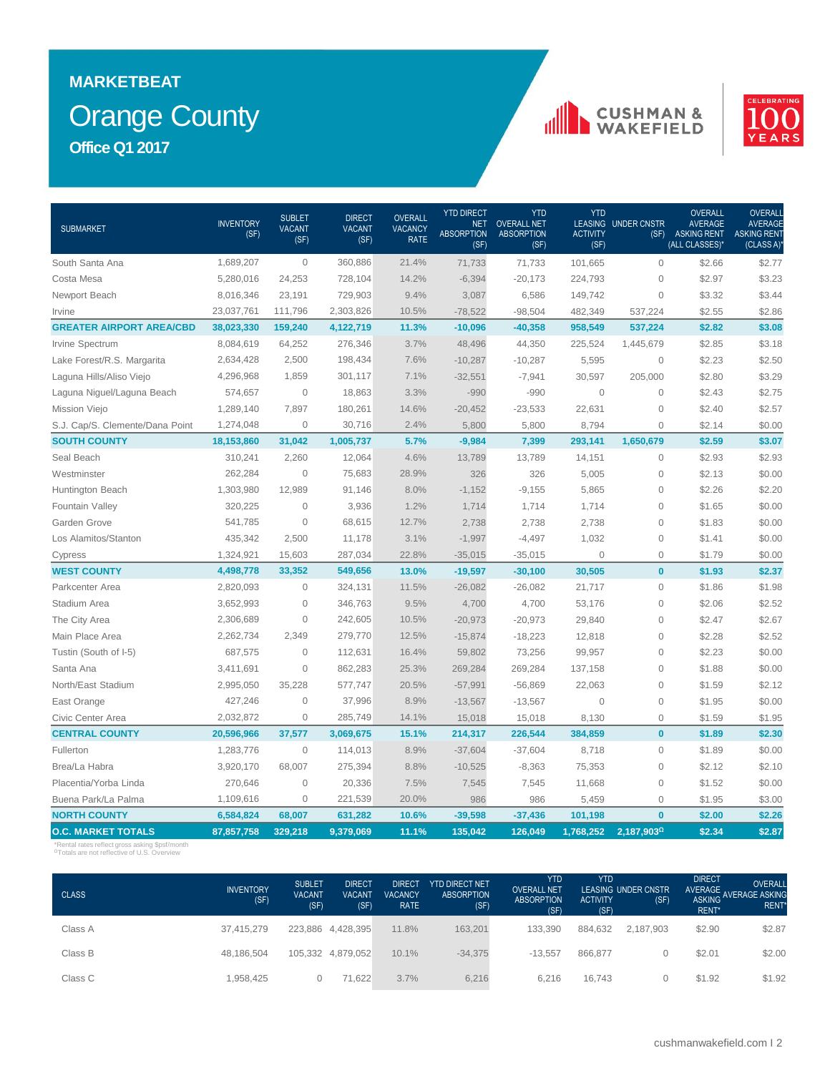# Orange County **MARKETBEAT Office Q1 2017**

## **CUSHMAN &**<br>WAKEFIELD



| <b>SUBMARKET</b>                | <b>INVENTORY</b><br>(SF) | <b>SUBLET</b><br><b>VACANT</b><br>(SF) | <b>DIRECT</b><br><b>VACANT</b><br>(SF) | OVERALL<br><b>VACANCY</b><br><b>RATE</b> | <b>YTD DIRECT</b><br><b>NET</b><br><b>ABSORPTION</b><br>(SF) | <b>YTD</b><br><b>OVERALL NET</b><br><b>ABSORPTION</b><br>(SF) | <b>YTD</b><br><b>LEASING</b><br><b>ACTIVITY</b><br>(SF) | <b>UNDER CNSTR</b><br>(SF) | <b>OVERALL</b><br><b>AVERAGE</b><br><b>ASKING RENT</b><br>(ALL CLASSES)* | <b>OVERALI</b><br><b>AVERAGE</b><br><b>ASKING RENT</b><br>(CLASS A) |
|---------------------------------|--------------------------|----------------------------------------|----------------------------------------|------------------------------------------|--------------------------------------------------------------|---------------------------------------------------------------|---------------------------------------------------------|----------------------------|--------------------------------------------------------------------------|---------------------------------------------------------------------|
| South Santa Ana                 | 1,689,207                | $\overline{0}$                         | 360,886                                | 21.4%                                    | 71,733                                                       | 71,733                                                        | 101,665                                                 | $\Omega$                   | \$2.66                                                                   | \$2.77                                                              |
| Costa Mesa                      | 5,280,016                | 24,253                                 | 728,104                                | 14.2%                                    | $-6,394$                                                     | $-20,173$                                                     | 224,793                                                 | $\Omega$                   | \$2.97                                                                   | \$3.23                                                              |
| Newport Beach                   | 8,016,346                | 23,191                                 | 729,903                                | 9.4%                                     | 3,087                                                        | 6,586                                                         | 149,742                                                 | $\mathbf 0$                | \$3.32                                                                   | \$3.44                                                              |
| Irvine                          | 23,037,761               | 111,796                                | 2,303,826                              | 10.5%                                    | $-78,522$                                                    | $-98,504$                                                     | 482,349                                                 | 537,224                    | \$2.55                                                                   | \$2.86                                                              |
| <b>GREATER AIRPORT AREA/CBD</b> | 38,023,330               | 159,240                                | 4,122,719                              | 11.3%                                    | $-10,096$                                                    | $-40,358$                                                     | 958,549                                                 | 537,224                    | \$2.82                                                                   | \$3.08                                                              |
| Irvine Spectrum                 | 8,084,619                | 64,252                                 | 276,346                                | 3.7%                                     | 48,496                                                       | 44,350                                                        | 225,524                                                 | 1,445,679                  | \$2.85                                                                   | \$3.18                                                              |
| Lake Forest/R.S. Margarita      | 2,634,428                | 2,500                                  | 198,434                                | 7.6%                                     | $-10,287$                                                    | $-10,287$                                                     | 5,595                                                   | $\mathbf 0$                | \$2.23                                                                   | \$2.50                                                              |
| Laguna Hills/Aliso Viejo        | 4,296,968                | 1,859                                  | 301,117                                | 7.1%                                     | $-32,551$                                                    | $-7,941$                                                      | 30,597                                                  | 205,000                    | \$2.80                                                                   | \$3.29                                                              |
| Laguna Niguel/Laguna Beach      | 574,657                  | $\mathbf 0$                            | 18,863                                 | 3.3%                                     | $-990$                                                       | $-990$                                                        | $\mathbf 0$                                             | $\mathbf 0$                | \$2.43                                                                   | \$2.75                                                              |
| Mission Viejo                   | 1,289,140                | 7,897                                  | 180,261                                | 14.6%                                    | $-20,452$                                                    | $-23,533$                                                     | 22,631                                                  | $\mathbf 0$                | \$2.40                                                                   | \$2.57                                                              |
| S.J. Cap/S. Clemente/Dana Point | 1,274,048                | $\overline{0}$                         | 30,716                                 | 2.4%                                     | 5,800                                                        | 5,800                                                         | 8,794                                                   | $\overline{0}$             | \$2.14                                                                   | \$0.00                                                              |
| <b>SOUTH COUNTY</b>             | 18,153,860               | 31,042                                 | 1,005,737                              | 5.7%                                     | $-9,984$                                                     | 7,399                                                         | 293,141                                                 | 1,650,679                  | \$2.59                                                                   | \$3.07                                                              |
| Seal Beach                      | 310,241                  | 2,260                                  | 12,064                                 | 4.6%                                     | 13,789                                                       | 13,789                                                        | 14,151                                                  | $\mathsf{O}\xspace$        | \$2.93                                                                   | \$2.93                                                              |
| Westminster                     | 262,284                  | $\mathbf 0$                            | 75,683                                 | 28.9%                                    | 326                                                          | 326                                                           | 5,005                                                   | $\mathbf 0$                | \$2.13                                                                   | \$0.00                                                              |
| Huntington Beach                | 1,303,980                | 12.989                                 | 91,146                                 | 8.0%                                     | $-1,152$                                                     | $-9,155$                                                      | 5,865                                                   | $\mathbf{0}$               | \$2.26                                                                   | \$2.20                                                              |
| Fountain Valley                 | 320,225                  | $\mathbf{0}$                           | 3,936                                  | 1.2%                                     | 1,714                                                        | 1,714                                                         | 1,714                                                   | $\mathbf{0}$               | \$1.65                                                                   | \$0.00                                                              |
| Garden Grove                    | 541,785                  | $\Omega$                               | 68,615                                 | 12.7%                                    | 2,738                                                        | 2,738                                                         | 2,738                                                   | $\mathbf{0}$               | \$1.83                                                                   | \$0.00                                                              |
| Los Alamitos/Stanton            | 435,342                  | 2,500                                  | 11,178                                 | 3.1%                                     | $-1,997$                                                     | $-4,497$                                                      | 1,032                                                   | $\mathbf{0}$               | \$1.41                                                                   | \$0.00                                                              |
| Cypress                         | 1,324,921                | 15,603                                 | 287,034                                | 22.8%                                    | $-35,015$                                                    | $-35,015$                                                     | $\overline{0}$                                          | $\mathbf{0}$               | \$1.79                                                                   | \$0.00                                                              |
| <b>WEST COUNTY</b>              | 4,498,778                | 33,352                                 | 549,656                                | 13.0%                                    | $-19,597$                                                    | $-30,100$                                                     | 30,505                                                  | $\bf{0}$                   | \$1.93                                                                   | \$2.37                                                              |
| Parkcenter Area                 | 2,820,093                | $\circ$                                | 324,131                                | 11.5%                                    | $-26,082$                                                    | $-26,082$                                                     | 21,717                                                  | $\mathbf 0$                | \$1.86                                                                   | \$1.98                                                              |
| Stadium Area                    | 3,652,993                | $\mathbf 0$                            | 346,763                                | 9.5%                                     | 4,700                                                        | 4,700                                                         | 53,176                                                  | $\circ$                    | \$2.06                                                                   | \$2.52                                                              |
| The City Area                   | 2,306,689                | $\mathbf 0$                            | 242,605                                | 10.5%                                    | $-20,973$                                                    | $-20,973$                                                     | 29,840                                                  | $\mathbf 0$                | \$2.47                                                                   | \$2.67                                                              |
| Main Place Area                 | 2,262,734                | 2,349                                  | 279,770                                | 12.5%                                    | $-15,874$                                                    | $-18,223$                                                     | 12,818                                                  | $\mathbf 0$                | \$2.28                                                                   | \$2.52                                                              |
| Tustin (South of I-5)           | 687,575                  | $\overline{0}$                         | 112,631                                | 16.4%                                    | 59,802                                                       | 73,256                                                        | 99,957                                                  | $\mathbf 0$                | \$2.23                                                                   | \$0.00                                                              |
| Santa Ana                       | 3,411,691                | $\overline{0}$                         | 862,283                                | 25.3%                                    | 269,284                                                      | 269,284                                                       | 137,158                                                 | $\mathbf{0}$               | \$1.88                                                                   | \$0.00                                                              |
| North/East Stadium              | 2,995,050                | 35,228                                 | 577,747                                | 20.5%                                    | $-57,991$                                                    | $-56,869$                                                     | 22,063                                                  | $\overline{0}$             | \$1.59                                                                   | \$2.12                                                              |
| East Orange                     | 427,246                  | $\overline{0}$                         | 37,996                                 | 8.9%                                     | $-13,567$                                                    | $-13,567$                                                     | $\overline{0}$                                          | $\mathbf 0$                | \$1.95                                                                   | \$0.00                                                              |
| Civic Center Area               | 2,032,872                | $\overline{0}$                         | 285,749                                | 14.1%                                    | 15,018                                                       | 15,018                                                        | 8,130                                                   | $\mathbf 0$                | \$1.59                                                                   | \$1.95                                                              |
| <b>CENTRAL COUNTY</b>           | 20,596,966               | 37,577                                 | 3,069,675                              | 15.1%                                    | 214,317                                                      | 226,544                                                       | 384,859                                                 | $\mathbf{0}$               | \$1.89                                                                   | \$2.30                                                              |
| Fullerton                       | 1,283,776                | $\mathbf{0}$                           | 114,013                                | 8.9%                                     | $-37,604$                                                    | $-37,604$                                                     | 8,718                                                   | $\mathbf{0}$               | \$1.89                                                                   | \$0.00                                                              |
| Brea/La Habra                   | 3,920,170                | 68,007                                 | 275,394                                | 8.8%                                     | $-10,525$                                                    | $-8,363$                                                      | 75,353                                                  | $\mathbf{0}$               | \$2.12                                                                   | \$2.10                                                              |
| Placentia/Yorba Linda           | 270,646                  | $\mathbf 0$                            | 20,336                                 | 7.5%                                     | 7,545                                                        | 7,545                                                         | 11,668                                                  | $\mathbf 0$                | \$1.52                                                                   | \$0.00                                                              |
| Buena Park/La Palma             | 1,109,616                | $\Omega$                               | 221,539                                | 20.0%                                    | 986                                                          | 986                                                           | 5,459                                                   | $\mathbf 0$                | \$1.95                                                                   | \$3.00                                                              |
| <b>NORTH COUNTY</b>             | 6,584,824                | 68,007                                 | 631,282                                | 10.6%                                    | $-39,598$                                                    | $-37,436$                                                     | 101,198                                                 | $\bf{0}$                   | \$2.00                                                                   | \$2.26                                                              |
| <b>O.C. MARKET TOTALS</b>       | 87,857,758               | 329,218                                | 9,379,069                              | 11.1%                                    | 135,042                                                      | 126,049                                                       | 1,768,252                                               | 2,187,9030                 | \$2.34                                                                   | \$2.87                                                              |

\*Rental rates reflect gross asking \$psf/month <sup>Ω</sup>Totals are not reflective of U.S. Overview

| <b>CLASS</b> | <b>INVENTORY</b><br>(SF) | <b>SUBLET</b><br><b>VACANT</b><br>(SF) | <b>DIRECT</b><br><b>VACANT</b><br>(SF) | <b>DIRECT</b><br>VACANCY<br><b>RATE</b> | <b>YTD DIRECT NET</b><br><b>ABSORPTION</b><br>(SF) | <b>YTD</b><br><b>OVERALL NET</b><br><b>ABSORPTION</b><br>(SF) | <b>YTD</b><br><b>ACTIVITY</b><br>(SF) | LEASING UNDER CNSTR<br>(SF) | <b>DIRECT</b><br>AVERAGE<br><b>ASKING</b><br>RENT* | <b>OVERALL</b><br><b>AVERAGE ASKING</b><br>RENT <sup>*</sup> |
|--------------|--------------------------|----------------------------------------|----------------------------------------|-----------------------------------------|----------------------------------------------------|---------------------------------------------------------------|---------------------------------------|-----------------------------|----------------------------------------------------|--------------------------------------------------------------|
| Class A      | 37.415.279               |                                        | 223,886 4,428,395                      | 11.8%                                   | 163,201                                            | 133,390                                                       | 884,632                               | 2.187.903                   | \$2.90                                             | \$2.87                                                       |
| Class B      | 48,186,504               |                                        | 105,332 4,879,052                      | 10.1%                                   | $-34,375$                                          | $-13.557$                                                     | 866.877                               |                             | \$2.01                                             | \$2.00                                                       |
| Class C      | 1,958,425                | 0                                      | 71.622                                 | 3.7%                                    | 6,216                                              | 6,216                                                         | 16.743                                |                             | \$1.92                                             | \$1.92                                                       |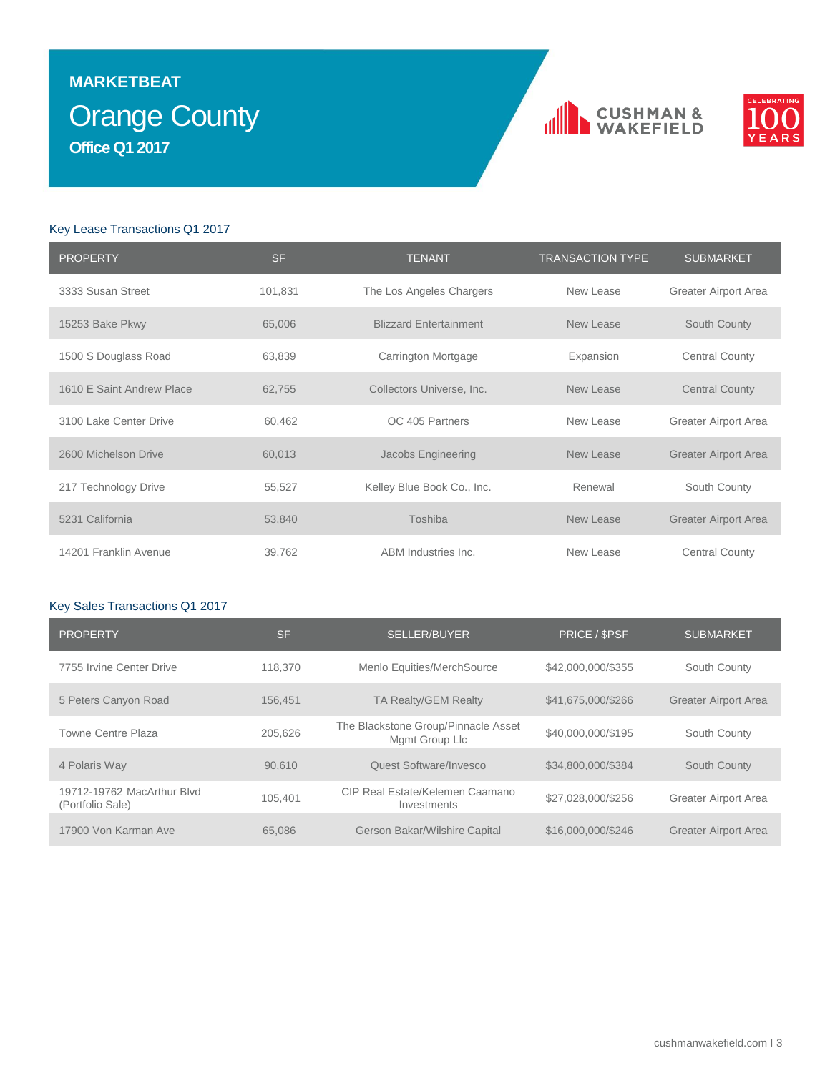# Orange County **MARKETBEAT Office Q1 2017**





### Key Lease Transactions Q1 2017

| <b>PROPERTY</b>           | <b>SF</b> | <b>TENANT</b>                 | <b>TRANSACTION TYPE</b> | <b>SUBMARKET</b>            |
|---------------------------|-----------|-------------------------------|-------------------------|-----------------------------|
| 3333 Susan Street         | 101,831   | The Los Angeles Chargers      | New Lease               | Greater Airport Area        |
| 15253 Bake Pkwy           | 65,006    | <b>Blizzard Entertainment</b> | New Lease               | South County                |
| 1500 S Douglass Road      | 63,839    | Carrington Mortgage           | Expansion               | <b>Central County</b>       |
| 1610 E Saint Andrew Place | 62,755    | Collectors Universe, Inc.     | New Lease               | <b>Central County</b>       |
| 3100 Lake Center Drive    | 60,462    | OC 405 Partners               | New Lease               | Greater Airport Area        |
| 2600 Michelson Drive      | 60,013    | Jacobs Engineering            | New Lease               | <b>Greater Airport Area</b> |
| 217 Technology Drive      | 55,527    | Kelley Blue Book Co., Inc.    | Renewal                 | South County                |
| 5231 California           | 53,840    | Toshiba                       | New Lease               | <b>Greater Airport Area</b> |
| 14201 Franklin Avenue     | 39,762    | ABM Industries Inc.           | New Lease               | <b>Central County</b>       |

### Key Sales Transactions Q1 2017

| <b>PROPERTY</b>                                | <b>SF</b> | <b>SELLER/BUYER</b>                                   | PRICE / \$PSF      | <b>SUBMARKET</b>            |
|------------------------------------------------|-----------|-------------------------------------------------------|--------------------|-----------------------------|
| 7755 Irvine Center Drive                       | 118,370   | Menlo Equities/MerchSource                            | \$42,000,000/\$355 | South County                |
| 5 Peters Canyon Road                           | 156.451   | TA Realty/GEM Realty                                  | \$41,675,000/\$266 | <b>Greater Airport Area</b> |
| Towne Centre Plaza                             | 205.626   | The Blackstone Group/Pinnacle Asset<br>Mgmt Group Llc | \$40,000,000/\$195 | South County                |
| 4 Polaris Way                                  | 90.610    | Quest Software/Invesco                                | \$34,800,000/\$384 | South County                |
| 19712-19762 MacArthur Blvd<br>(Portfolio Sale) | 105.401   | CIP Real Estate/Kelemen Caamano<br>Investments        | \$27,028,000/\$256 | Greater Airport Area        |
| 17900 Von Karman Ave                           | 65,086    | Gerson Bakar/Wilshire Capital                         | \$16,000,000/\$246 | <b>Greater Airport Area</b> |